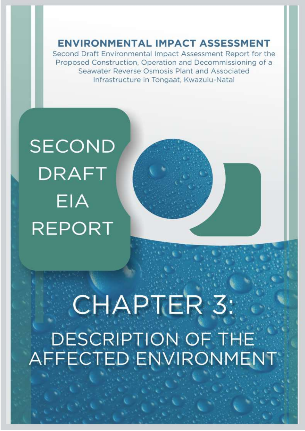**ENVIRONMENTAL IMPACT ASSESSMENT** 

Second Draft Environmental Impact Assessment Report for the Proposed Construction, Operation and Decommissioning of a Seawater Reverse Osmosis Plant and Associated Infrastructure in Tongaat, Kwazulu-Natal

## **SECOND DRAFT EIA REPORT**

# CHAPTER 3: DESCRIPTION OF THE **AFFECTED ENVIRONMENT**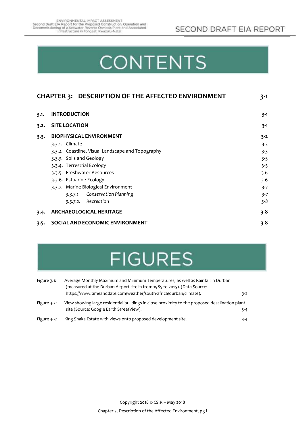## **CONTENTS**

| <b>CHAPTER 3: DESCRIPTION OF THE AFFECTED ENVIRONMENT</b> |                                                   | 3-1     |
|-----------------------------------------------------------|---------------------------------------------------|---------|
|                                                           |                                                   |         |
| 3.1.                                                      | <b>INTRODUCTION</b>                               | $3 - 1$ |
| 3.2.                                                      | <b>SITE LOCATION</b>                              | $3 - 1$ |
| 3.3.                                                      | <b>BIOPHYSICAL ENVIRONMENT</b>                    | $3 - 2$ |
|                                                           | 3.3.1. Climate                                    | $3 - 2$ |
|                                                           | 3.3.2. Coastline, Visual Landscape and Topography | $3 - 3$ |
|                                                           | 3.3.3. Soils and Geology                          | $3 - 5$ |
|                                                           | 3.3.4. Terrestrial Ecology                        | $3 - 5$ |
|                                                           | 3.3.5. Freshwater Resources                       | $3 - 6$ |
|                                                           | 3.3.6. Estuarine Ecology                          | $3 - 6$ |
|                                                           | 3.3.7. Marine Biological Environment              | $3-7$   |
|                                                           | 3.3.7.1. Conservation Planning                    | $3 - 7$ |
|                                                           | 3.3.7.2. Recreation                               | $3 - 8$ |
| 3.4.                                                      | <b>ARCHAEOLOGICAL HERITAGE</b>                    |         |
| 3.5.                                                      | SOCIAL AND ECONOMIC ENVIRONMENT                   | $3 - 8$ |

### **FIGURES**

| Figure 3.1:    | Average Monthly Maximum and Minimum Temperatures, as well as Rainfall in Durban<br>(measured at the Durban Airport site in from 1985 to 2015). (Data Source: |         |  |
|----------------|--------------------------------------------------------------------------------------------------------------------------------------------------------------|---------|--|
|                | https://www.timeanddate.com/weather/south-africa/durban/climate).                                                                                            | $3-2$   |  |
| Figure $3-2$ : | View showing large residential buildings in close proximity to the proposed desalination plant<br>site (Source: Google Earth StreetView).                    | $3 - 4$ |  |
| Figure 3-3:    | King Shaka Estate with views onto proposed development site.                                                                                                 | $3 - 4$ |  |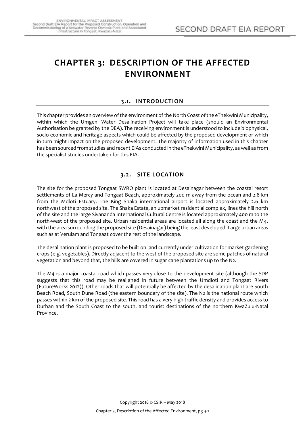### <span id="page-2-0"></span>**CHAPTER 3: DESCRIPTION OF THE AFFECTED ENVIRONMENT**

#### **3.1. INTRODUCTION**

<span id="page-2-1"></span>This chapter provides an overview of the environment of the North Coast of the eThekwini Municipality, within which the Umgeni Water Desalination Project will take place (should an Environmental Authorisation be granted by the DEA). The receiving environment is understood to include biophysical, socio-economic and heritage aspects which could be affected by the proposed development or which in turn might impact on the proposed development. The majority of information used in this chapter has been sourced from studies and recent EIAs conducted in the eThekwini Municipality, as well as from the specialist studies undertaken for this EIA.

#### <span id="page-2-2"></span>**3.2. SITE LOCATION**

The site for the proposed Tongaat SWRO plant is located at Desainagar between the coastal resort settlements of La Mercy and Tongaat Beach, approximately 200 m away from the ocean and 2.8 km from the Mdloti Estuary. The King Shaka international airport is located approximately 2.6 km northwest of the proposed site. The Shaka Estate, an upmarket residential complex, lines the hill north of the site and the large Sivananda International Cultural Centre is located approximately 400 m to the north-west of the proposed site. Urban residential areas are located all along the coast and the M4, with the area surrounding the proposed site (Desainagar) being the least developed. Large urban areas such as at Verulam and Tongaat cover the rest of the landscape.

The desalination plant is proposed to be built on land currently under cultivation for market gardening crops (e.g. vegetables). Directly adjacent to the west of the proposed site are some patches of natural vegetation and beyond that, the hills are covered in sugar cane plantations up to the N2.

The M4 is a major coastal road which passes very close to the development site (although the SDP suggests that this road may be realigned in future between the Umdloti and Tongaat Rivers (FutureWorks 2012)). Other roads that will potentially be affected by the desalination plant are South Beach Road, South Dune Road (the eastern boundary of the site). The N2 is the national route which passes within 2 km of the proposed site. This road has a very high traffic density and provides access to Durban and the South Coast to the south, and tourist destinations of the northern KwaZulu-Natal Province.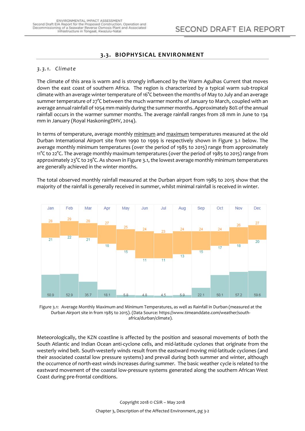#### **3.3. BIOPHYSICAL ENVIRONMENT**

#### <span id="page-3-1"></span><span id="page-3-0"></span>*3.3.1. Climate*

The climate of this area is warm and is strongly influenced by the Warm Agulhas Current that moves down the east coast of southern Africa. The region is characterized by a typical warm sub-tropical climate with an average winter temperature of 16°C between the months of May to July and an average summer temperature of 27°C between the much warmer months of January to March, coupled with an average annual rainfall of 1054 mm mainly during the summer months. Approximately 80% of the annual rainfall occurs in the warmer summer months. The average rainfall ranges from 28 mm in June to 134 mm in January (Royal HaskoningDHV, 2014).

In terms of temperature, average monthly minimum and maximum temperatures measured at the old Durban International Airport site from 1990 to 1999 is respectively shown in Figure 3.1 below. The average monthly minimum temperatures (over the period of 1985 to 2015) range from approximately 11°C to 22°C. The average monthly maximum temperatures (over the period of 1985 to 2015) range from approximately 23°C to 29°C. As shown in Figure 3.1, the lowest average monthly minimum temperatures are generally achieved in the winter months.

The total observed monthly rainfall measured at the Durban airport from 1985 to 2015 show that the majority of the rainfall is generally received in summer, whilst minimal rainfall is received in winter.



<span id="page-3-2"></span>Figure 3.1: Average Monthly Maximum and Minimum Temperatures, as well as Rainfall in Durban (measured at the Durban Airport site in from 1985 to 2015). (Data Source: https://www.timeanddate.com/weather/southafrica/durban/climate).

Meteorologically, the KZN coastline is affected by the position and seasonal movements of both the South Atlantic and Indian Ocean anti-cyclone cells, and mid-latitude cyclones that originate from the westerly wind belt. South-westerly winds result from the eastward moving mid-latitude cyclones (and their associated coastal low pressure systems) and prevail during both summer and winter, although the occurrence of north-east winds increases during summer. The basic weather cycle is related to the eastward movement of the coastal low-pressure systems generated along the southern African West Coast during pre-frontal conditions.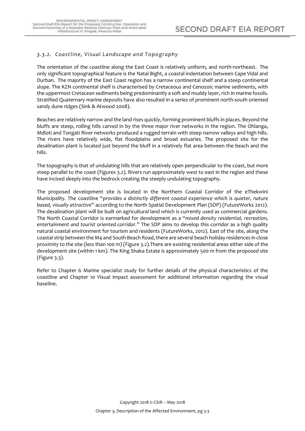#### <span id="page-4-0"></span>*3.3.2. Coastline, Visual Landscape and Topo graphy*

The orientation of the coastline along the East Coast is relatively uniform, and north-northeast. The only significant topographical feature is the Natal Bight, a coastal indentation between Cape Vidal and Durban. The majority of the East Coast region has a narrow continental shelf and a steep continental slope. The KZN continental shelf is characterised by Cretaceous and Cenozoic marine sediments, with the uppermost Cretacean sediments being predominantly a soft and muddy layer, rich in marine fossils. Stratified Quaternary marine deposits have also resulted in a series of prominent north-south oriented sandy dune ridges (Sink & Atwood 2008).

Beaches are relatively narrow and the land rises quickly, forming prominent bluffs in places. Beyond the bluffs are steep, rolling hills carved in by the three major river networks in the region. The Ohlanga, Mdloti and Tongati River networks produced a rugged terrain with steep narrow valleys and high hills. The rivers have relatively wide, flat floodplains and broad estuaries. The proposed site for the desalination plant is located just beyond the bluff in a relatively flat area between the beach and the hills.

The topography is that of undulating hills that are relatively open perpendicular to the coast, but more steep parallel to the coast (Figures 3.2). Rivers run approximately west to east in the region and these have incised deeply into the bedrock creating the steeply undulating topography.

The proposed development site is located in the Northern Coastal Corridor of the eThekwini Municipality. The coastline "*provides a distinctly different coastal experience which is quieter, nature based, visually attractive*" according to the North Spatial Development Plan (SDP) (FutureWorks 2012). The desalination plant will be built on agricultural land which is currently used as commercial gardens. The North Coastal Corridor is earmarked for development as a "*mixed density residential, recreation, entertainment and tourist oriented corridor.*" The SDP aims to develop this corridor as a high quality natural coastal environment for tourism and residents (FutureWorks, 2012). East of the site, along the coastal strip between the M4 and South Beach Road, there are several beach holiday residences in close proximity to the site (less than 100 m) (Figure 3.2).There are existing residential areas either side of the development site (within 1 km). The King Shaka Estate is approximately 500 m from the proposed site (Figure 3.3).

Refer to Chapter 6 Marine specialist study for further details of the physical characteristics of the coastline and Chapter 10 Visual impact assessment for additional information regarding the visual baseline.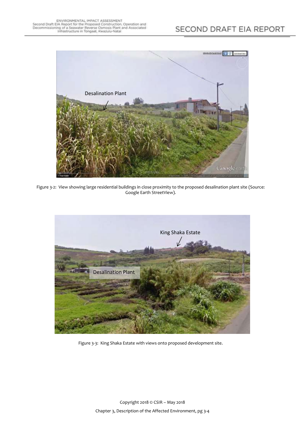

Figure 3-2: View showing large residential buildings in close proximity to the proposed desalination plant site (Source: Google Earth StreetView).

<span id="page-5-1"></span><span id="page-5-0"></span>

Figure 3-3: King Shaka Estate with views onto proposed development site.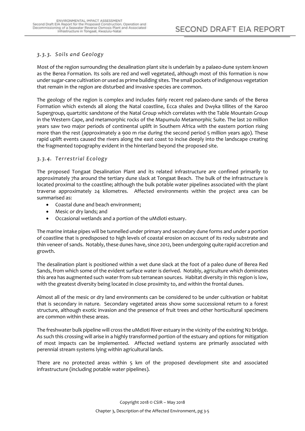#### <span id="page-6-0"></span>*3.3.3. Soils and Geology*

Most of the region surrounding the desalination plant site is underlain by a palaeo-dune system known as the Berea Formation. Its soils are red and well vegetated, although most of this formation is now under sugar-cane cultivation or used as prime building sites. The small pockets of indigenous vegetation that remain in the region are disturbed and invasive species are common.

The geology of the region is complex and includes fairly recent red palaeo-dune sands of the Berea Formation which extends all along the Natal coastline, Ecca shales and Dwyka tillites of the Karoo Supergroup, quartzitic sandstone of the Natal Group which correlates with the Table Mountain Group in the Western Cape, and metamorphic rocks of the Mapumulo Metamorphic Suite. The last 20 million years saw two major periods of continental uplift in Southern Africa with the eastern portion rising more than the rest (approximately a 900 m rise during the second period 5 million years ago). These rapid uplift events caused the rivers along the east coast to incise deeply into the landscape creating the fragmented topography evident in the hinterland beyond the proposed site.

#### <span id="page-6-1"></span>*3.3.4. Terrestrial Ecology*

The proposed Tongaat Desalination Plant and its related infrastructure are confined primarily to approximately 7ha around the tertiary dune slack at Tongaat Beach. The bulk of the infrastructure is located proximal to the coastline; although the bulk potable water pipelines associated with the plant traverse approximately 24 kilometres. Affected environments within the project area can be summarised as:

- Coastal dune and beach environment;
- Mesic or dry lands; and
- Occasional wetlands and a portion of the uMdloti estuary.

The marine intake pipes will be tunnelled under primary and secondary dune forms and under a portion of coastline that is predisposed to high levels of coastal erosion on account of its rocky substrate and thin veneer of sands. Notably, these dunes have, since 2012, been undergoing quite rapid accretion and growth.

The desalination plant is positioned within a wet dune slack at the foot of a paleo dune of Berea Red Sands, from which some of the evident surface water is derived. Notably, agriculture which dominates this area has augmented such water from sub terranean sources. Habitat diversity in this region is low, with the greatest diversity being located in close proximity to, and within the frontal dunes.

Almost all of the mesic or dry land environments can be considered to be under cultivation or habitat that is secondary in nature. Secondary vegetated areas show some successional return to a forest structure, although exotic invasion and the presence of fruit trees and other horticultural specimens are common within these areas.

The freshwater bulk pipeline will cross the uMdloti River estuary in the vicinity of the existing N2 bridge. As such this crossing will arise in a highly transformed portion of the estuary and options for mitigation of most impacts can be implemented. Affected wetland systems are primarily associated with perennial stream systems lying within agricultural lands.

There are no protected areas within 5 km of the proposed development site and associated infrastructure (including potable water pipelines).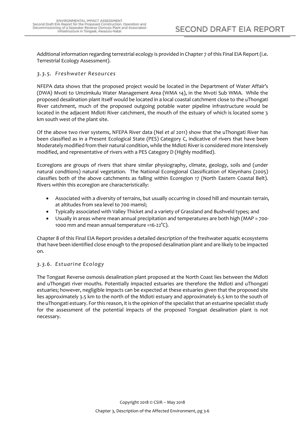Additional information regarding terrestrial ecology is provided in Chapter 7 of this Final EIA Report (i.e. Terrestrial Ecology Assessment).

#### <span id="page-7-0"></span>*3.3.5. Freshwater Resources*

NFEPA data shows that the proposed project would be located in the Department of Water Affair's (DWA) Mvoti to Umzimkulu Water Management Area (WMA 14), in the Mvoti Sub WMA. While the proposed desalination plant itself would be located in a local coastal catchment close to the uThongati River catchment, much of the proposed outgoing potable water pipeline infrastructure would be located in the adjacent Mdloti River catchment, the mouth of the estuary of which is located some 3 km south west of the plant site.

Of the above two river systems, NFEPA River data (Nel *et al* 2011) show that the uThongati River has been classified as in a Present Ecological State (PES) Category C, indicative of rivers that have been Moderately modified from their natural condition, while the Mdloti River is considered more intensively modified, and representative of rivers with a PES Category D (Highly modified).

Ecoregions are groups of rivers that share similar physiography, climate, geology, soils and (under natural conditions) natural vegetation. The National Ecoregional Classification of Kleynhans (2005) classifies both of the above catchments as falling within Ecoregion 17 (North Eastern Coastal Belt). Rivers within this ecoregion are characteristically:

- Associated with a diversity of terrains, but usually occurring in closed hill and mountain terrain, at altitudes from sea level to 700 mamsl;
- Typically associated with Valley Thicket and a variety of Grassland and Bushveld types; and
- Usually in areas where mean annual precipitation and temperatures are both high (MAP = 700- 1000 mm and mean annual temperature =16-22°C).

Chapter 8 of this Final EIA Report provides a detailed description of the freshwater aquatic ecosystems that have been identified close enough to the proposed desalination plant and are likely to be impacted on.

#### <span id="page-7-1"></span>*3.3.6. Estuarine Ecology*

The Tongaat Reverse osmosis desalination plant proposed at the North Coast lies between the Mdloti and uThongati river mouths. Potentially impacted estuaries are therefore the Mdloti and uThongati estuaries; however, negligible impacts can be expected at these estuaries given that the proposed site lies approximately 3.5 km to the north of the Mdloti estuary and approximately 6.5 km to the south of the uThongati estuary. For this reason, it is the opinion of the specialist that an estuarine specialist study for the assessment of the potential impacts of the proposed Tongaat desalination plant is not necessary.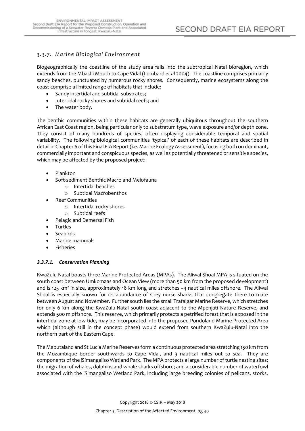#### <span id="page-8-0"></span>*3.3.7. Marine Biological Environment*

Biogeographically the coastline of the study area falls into the subtropical Natal bioregion, which extends from the Mbashi Mouth to Cape Vidal (Lombard *et al* 2004). The coastline comprises primarily sandy beaches, punctuated by numerous rocky shores. Consequently, marine ecosystems along the coast comprise a limited range of habitats that include:

- Sandy intertidal and subtidal substrates;
- Intertidal rocky shores and subtidal reefs; and
- The water body.

The benthic communities within these habitats are generally ubiquitous throughout the southern African East Coast region, being particular only to substratum type, wave exposure and/or depth zone. They consist of many hundreds of species, often displaying considerable temporal and spatial variability. The following biological communities 'typical' of each of these habitats are described in detail in Chapter 6 of this Final EIA Report (i.e. Marine Ecology Assessment), focusing both on dominant, commercially important and conspicuous species, as well as potentially threatened or sensitive species, which may be affected by the proposed project:

- Plankton
- Soft-sediment Benthic Macro and Meiofauna
	- o Intertidal beaches
	- o Subtidal Macrobenthos
- Reef Communities
	- o Intertidal rocky shores
	- o Subtidal reefs
- Pelagic and Demersal Fish
- Turtles
- Seabirds
- Marine mammals
- Fisheries

#### <span id="page-8-1"></span>*3.3.7.1. Conservation Planning*

KwaZulu-Natal boasts three Marine Protected Areas (MPAs). The Aliwal Shoal MPA is situated on the south coast between Umkomaas and Ocean View (more than 50 km from the proposed development) and is 125 km<sup>2</sup> in size, approximately 18 km long and stretches ~4 nautical miles offshore. The Aliwal Shoal is especially known for its abundance of Grey nurse sharks that congregate there to mate between August and November. Further south lies the small Trafalgar Marine Reserve, which stretches for only 6 km along the KwaZulu-Natal south coast adjacent to the Mpenjati Nature Reserve, and extends 500 m offshore. This reserve, which primarily protects a petrified forest that is exposed in the intertidal zone at low tide, may be incorporated into the proposed Pondoland Marine Protected Area which (although still in the concept phase) would extend from southern KwaZulu-Natal into the northern part of the Eastern Cape.

The Maputaland and St Lucia Marine Reserves form a continuous protected area stretching 150 km from the Mozambique border southwards to Cape Vidal, and 3 nautical miles out to sea. They are components of the iSimangaliso Wetland Park. The MPA protects a large number of turtle nesting sites; the migration of whales, dolphins and whale-sharks offshore; and a considerable number of waterfowl associated with the iSimangaliso Wetland Park, including large breeding colonies of pelicans, storks,